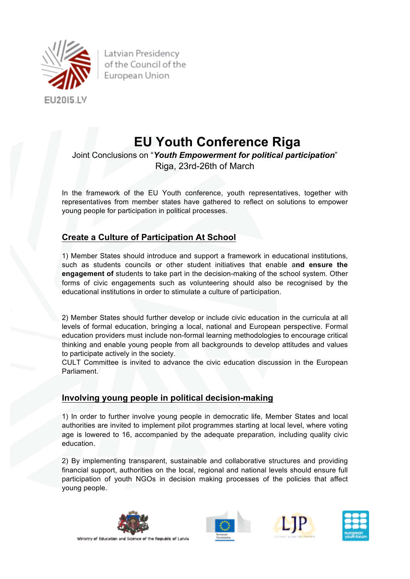

Latvian Presidency of the Council of the European Union

# **EU Youth Conference Riga**

## Joint Conclusions on "*Youth Empowerment for political participation*" Riga, 23rd-26th of March

In the framework of the EU Youth conference, youth representatives, together with representatives from member states have gathered to reflect on solutions to empower young people for participation in political processes.

## **Create a Culture of Participation At School**

1) Member States should introduce and support a framework in educational institutions, such as students councils or other student initiatives that enable a**nd ensure the engagement of** students to take part in the decision-making of the school system. Other forms of civic engagements such as volunteering should also be recognised by the educational institutions in order to stimulate a culture of participation.

2) Member States should further develop or include civic education in the curricula at all levels of formal education, bringing a local, national and European perspective. Formal education providers must include non-formal learning methodologies to encourage critical thinking and enable young people from all backgrounds to develop attitudes and values to participate actively in the society.

CULT Committee is invited to advance the civic education discussion in the European Parliament.

#### **Involving young people in political decision-making**

1) In order to further involve young people in democratic life, Member States and local authorities are invited to implement pilot programmes starting at local level, where voting age is lowered to 16, accompanied by the adequate preparation, including quality civic education.

2) By implementing transparent, sustainable and collaborative structures and providing financial support, authorities on the local, regional and national levels should ensure full participation of youth NGOs in decision making processes of the policies that affect young people.







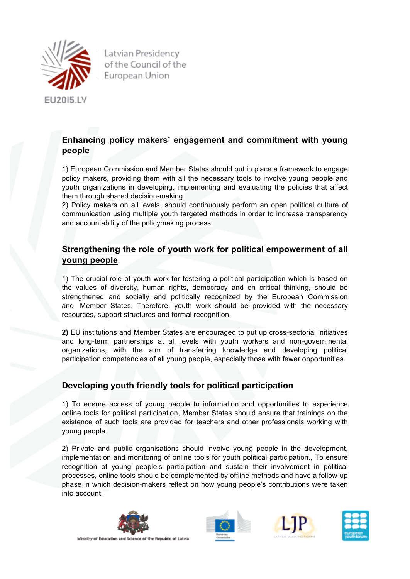

Latvian Presidency of the Council of the European Union

## **Enhancing policy makers' engagement and commitment with young people**

1) European Commission and Member States should put in place a framework to engage policy makers, providing them with all the necessary tools to involve young people and youth organizations in developing, implementing and evaluating the policies that affect them through shared decision-making.

2) Policy makers on all levels, should continuously perform an open political culture of communication using multiple youth targeted methods in order to increase transparency and accountability of the policymaking process.

#### **Strengthening the role of youth work for political empowerment of all young people**

1) The crucial role of youth work for fostering a political participation which is based on the values of diversity, human rights, democracy and on critical thinking, should be strengthened and socially and politically recognized by the European Commission and Member States. Therefore, youth work should be provided with the necessary resources, support structures and formal recognition.

**2)** EU institutions and Member States are encouraged to put up cross-sectorial initiatives and long-term partnerships at all levels with youth workers and non-governmental organizations, with the aim of transferring knowledge and developing political participation competencies of all young people, especially those with fewer opportunities.

#### **Developing youth friendly tools for political participation**

1) To ensure access of young people to information and opportunities to experience online tools for political participation, Member States should ensure that trainings on the existence of such tools are provided for teachers and other professionals working with young people.

2) Private and public organisations should involve young people in the development, implementation and monitoring of online tools for youth political participation., To ensure recognition of young people's participation and sustain their involvement in political processes, online tools should be complemented by offline methods and have a follow-up phase in which decision-makers reflect on how young people's contributions were taken into account.









Ministry of Education and Science of the Republic of Latvia